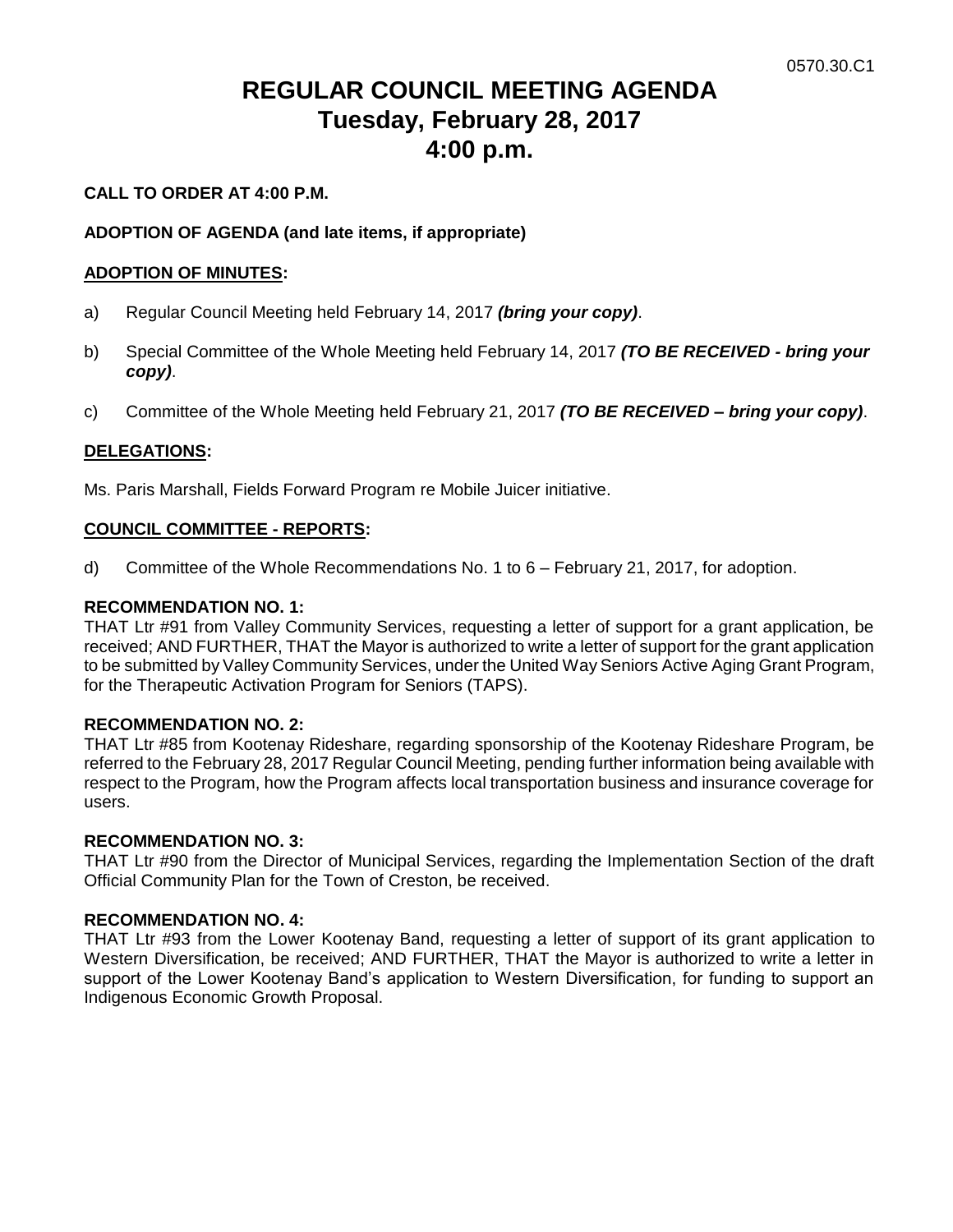# **REGULAR COUNCIL MEETING AGENDA Tuesday, February 28, 2017 4:00 p.m.**

# **CALL TO ORDER AT 4:00 P.M.**

# **ADOPTION OF AGENDA (and late items, if appropriate)**

# **ADOPTION OF MINUTES:**

- a) Regular Council Meeting held February 14, 2017 *(bring your copy)*.
- b) Special Committee of the Whole Meeting held February 14, 2017 *(TO BE RECEIVED - bring your copy)*.
- c) Committee of the Whole Meeting held February 21, 2017 *(TO BE RECEIVED – bring your copy)*.

# **DELEGATIONS:**

Ms. Paris Marshall, Fields Forward Program re Mobile Juicer initiative.

# **COUNCIL COMMITTEE - REPORTS:**

d) Committee of the Whole Recommendations No. 1 to 6 – February 21, 2017, for adoption.

# **RECOMMENDATION NO. 1:**

THAT Ltr #91 from Valley Community Services, requesting a letter of support for a grant application, be received; AND FURTHER, THAT the Mayor is authorized to write a letter of support for the grant application to be submitted by Valley Community Services, under the United Way Seniors Active Aging Grant Program, for the Therapeutic Activation Program for Seniors (TAPS).

# **RECOMMENDATION NO. 2:**

THAT Ltr #85 from Kootenay Rideshare, regarding sponsorship of the Kootenay Rideshare Program, be referred to the February 28, 2017 Regular Council Meeting, pending further information being available with respect to the Program, how the Program affects local transportation business and insurance coverage for users.

# **RECOMMENDATION NO. 3:**

THAT Ltr #90 from the Director of Municipal Services, regarding the Implementation Section of the draft Official Community Plan for the Town of Creston, be received.

# **RECOMMENDATION NO. 4:**

THAT Ltr #93 from the Lower Kootenay Band, requesting a letter of support of its grant application to Western Diversification, be received; AND FURTHER, THAT the Mayor is authorized to write a letter in support of the Lower Kootenay Band's application to Western Diversification, for funding to support an Indigenous Economic Growth Proposal.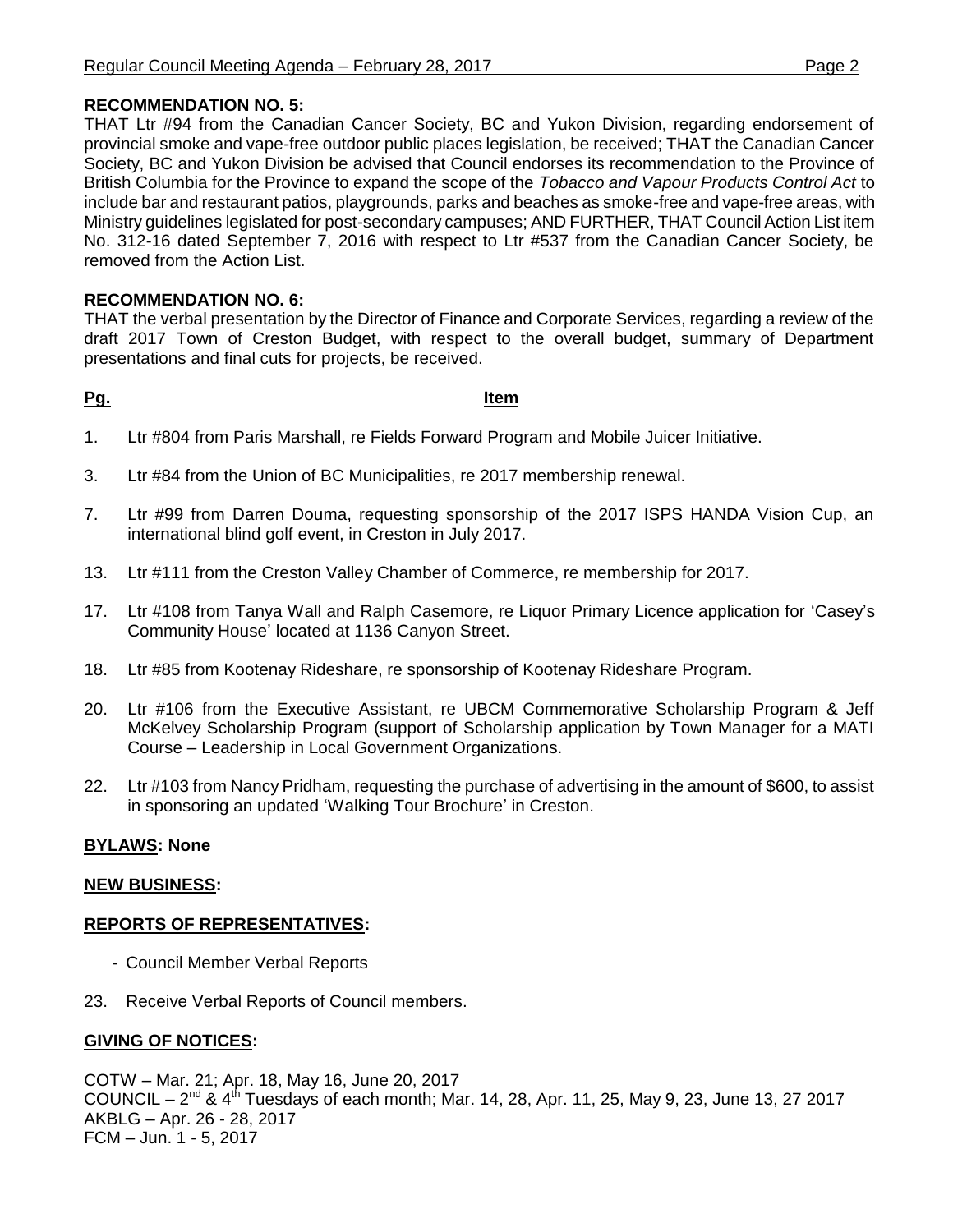# **RECOMMENDATION NO. 5:**

THAT Ltr #94 from the Canadian Cancer Society, BC and Yukon Division, regarding endorsement of provincial smoke and vape-free outdoor public places legislation, be received; THAT the Canadian Cancer Society, BC and Yukon Division be advised that Council endorses its recommendation to the Province of British Columbia for the Province to expand the scope of the *Tobacco and Vapour Products Control Act* to include bar and restaurant patios, playgrounds, parks and beaches as smoke-free and vape-free areas, with Ministry guidelines legislated for post-secondary campuses; AND FURTHER, THAT Council Action List item No. 312-16 dated September 7, 2016 with respect to Ltr #537 from the Canadian Cancer Society, be removed from the Action List.

# **RECOMMENDATION NO. 6:**

THAT the verbal presentation by the Director of Finance and Corporate Services, regarding a review of the draft 2017 Town of Creston Budget, with respect to the overall budget, summary of Department presentations and final cuts for projects, be received.

#### **Pg. Item**

- 1. Ltr #804 from Paris Marshall, re Fields Forward Program and Mobile Juicer Initiative.
- 3. Ltr #84 from the Union of BC Municipalities, re 2017 membership renewal.
- 7. Ltr #99 from Darren Douma, requesting sponsorship of the 2017 ISPS HANDA Vision Cup, an international blind golf event, in Creston in July 2017.
- 13. Ltr #111 from the Creston Valley Chamber of Commerce, re membership for 2017.
- 17. Ltr #108 from Tanya Wall and Ralph Casemore, re Liquor Primary Licence application for 'Casey's Community House' located at 1136 Canyon Street.
- 18. Ltr #85 from Kootenay Rideshare, re sponsorship of Kootenay Rideshare Program.
- 20. Ltr #106 from the Executive Assistant, re UBCM Commemorative Scholarship Program & Jeff McKelvey Scholarship Program (support of Scholarship application by Town Manager for a MATI Course – Leadership in Local Government Organizations.
- 22. Ltr #103 from Nancy Pridham, requesting the purchase of advertising in the amount of \$600, to assist in sponsoring an updated 'Walking Tour Brochure' in Creston.

# **BYLAWS: None**

# **NEW BUSINESS:**

# **REPORTS OF REPRESENTATIVES:**

- Council Member Verbal Reports
- 23. Receive Verbal Reports of Council members.

# **GIVING OF NOTICES:**

COTW – Mar. 21; Apr. 18, May 16, June 20, 2017 COUNCIL – 2<sup>nd</sup> & 4<sup>th</sup> Tuesdays of each month; Mar. 14, 28, Apr. 11, 25, May 9, 23, June 13, 27 2017 AKBLG – Apr. 26 - 28, 2017 FCM – Jun. 1 - 5, 2017